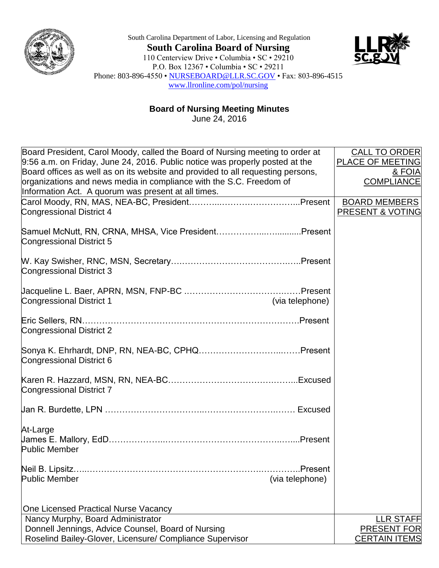

South Carolina Department of Labor, Licensing and Regulation **South Carolina Board of Nursing** 110 Centerview Drive • Columbia • SC • 29210 P.O. Box 12367 • Columbia • SC • 29211 Phone: 803-896-4550 • [NURSEBOARD@LLR.SC.GOV](mailto:NURSEBOARD@LLR.SC.GOV) • Fax: 803-896-4515 [www.llronline.com/pol/nursing](http://www.llronline.com/pol/nursing)



**Board of Nursing Meeting Minutes**

June 24, 2016

| Board President, Carol Moody, called the Board of Nursing meeting to order at<br>9:56 a.m. on Friday, June 24, 2016. Public notice was properly posted at the<br>Board offices as well as on its website and provided to all requesting persons, | <b>CALL TO ORDER</b><br>PLACE OF MEETING<br>& FOIA  |
|--------------------------------------------------------------------------------------------------------------------------------------------------------------------------------------------------------------------------------------------------|-----------------------------------------------------|
| organizations and news media in compliance with the S.C. Freedom of<br>Information Act. A quorum was present at all times.                                                                                                                       | <b>COMPLIANCE</b>                                   |
| <b>Congressional District 4</b>                                                                                                                                                                                                                  | <b>BOARD MEMBERS</b><br><b>PRESENT &amp; VOTING</b> |
| Samuel McNutt, RN, CRNA, MHSA, Vice PresidentPresent<br>Congressional District 5                                                                                                                                                                 |                                                     |
| <b>Congressional District 3</b>                                                                                                                                                                                                                  |                                                     |
| <b>Congressional District 1</b><br>(via telephone)                                                                                                                                                                                               |                                                     |
| <b>Congressional District 2</b>                                                                                                                                                                                                                  |                                                     |
| Congressional District 6                                                                                                                                                                                                                         |                                                     |
| <b>Congressional District 7</b>                                                                                                                                                                                                                  |                                                     |
|                                                                                                                                                                                                                                                  |                                                     |
| At-Large<br><b>Public Member</b>                                                                                                                                                                                                                 |                                                     |
| Neil B. Lipsitz.<br>Present<br><b>Public Member</b><br>(via telephone)                                                                                                                                                                           |                                                     |
| One Licensed Practical Nurse Vacancy                                                                                                                                                                                                             |                                                     |
| Nancy Murphy, Board Administrator                                                                                                                                                                                                                | <b>LLR STAFF</b>                                    |
| Donnell Jennings, Advice Counsel, Board of Nursing                                                                                                                                                                                               | <b>PRESENT FOR</b>                                  |
| Roselind Bailey-Glover, Licensure/ Compliance Supervisor                                                                                                                                                                                         | <b>CERTAIN ITEMS</b>                                |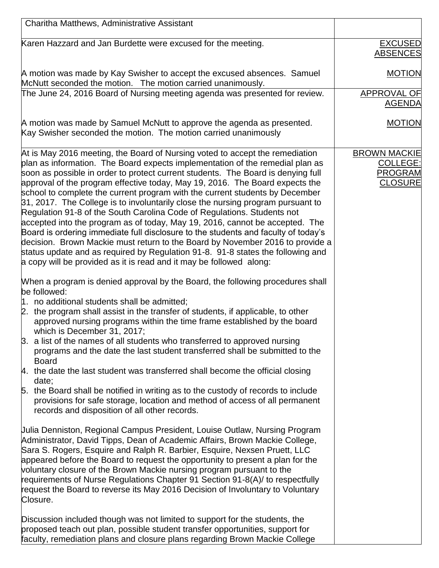| Charitha Matthews, Administrative Assistant                                                                                                                                                                                                                                                                                                                                                                                                                                                                                                                                                                                                                                                                                                                                                                                                                                                                                                                                                      |                                                                            |
|--------------------------------------------------------------------------------------------------------------------------------------------------------------------------------------------------------------------------------------------------------------------------------------------------------------------------------------------------------------------------------------------------------------------------------------------------------------------------------------------------------------------------------------------------------------------------------------------------------------------------------------------------------------------------------------------------------------------------------------------------------------------------------------------------------------------------------------------------------------------------------------------------------------------------------------------------------------------------------------------------|----------------------------------------------------------------------------|
| Karen Hazzard and Jan Burdette were excused for the meeting.                                                                                                                                                                                                                                                                                                                                                                                                                                                                                                                                                                                                                                                                                                                                                                                                                                                                                                                                     | <b>EXCUSED</b><br><b>ABSENCES</b>                                          |
| A motion was made by Kay Swisher to accept the excused absences. Samuel<br>McNutt seconded the motion. The motion carried unanimously.                                                                                                                                                                                                                                                                                                                                                                                                                                                                                                                                                                                                                                                                                                                                                                                                                                                           | <b>MOTION</b>                                                              |
| The June 24, 2016 Board of Nursing meeting agenda was presented for review.                                                                                                                                                                                                                                                                                                                                                                                                                                                                                                                                                                                                                                                                                                                                                                                                                                                                                                                      | APPROVAL OF<br><b>AGENDA</b>                                               |
| A motion was made by Samuel McNutt to approve the agenda as presented.<br>Kay Swisher seconded the motion. The motion carried unanimously                                                                                                                                                                                                                                                                                                                                                                                                                                                                                                                                                                                                                                                                                                                                                                                                                                                        | <b>MOTION</b>                                                              |
| At is May 2016 meeting, the Board of Nursing voted to accept the remediation<br>plan as information. The Board expects implementation of the remedial plan as<br>soon as possible in order to protect current students. The Board is denying full<br>approval of the program effective today, May 19, 2016. The Board expects the<br>school to complete the current program with the current students by December<br>31, 2017. The College is to involuntarily close the nursing program pursuant to<br>Regulation 91-8 of the South Carolina Code of Regulations. Students not<br>accepted into the program as of today, May 19, 2016, cannot be accepted. The<br>Board is ordering immediate full disclosure to the students and faculty of today's<br>decision. Brown Mackie must return to the Board by November 2016 to provide a<br>status update and as required by Regulation 91-8. 91-8 states the following and<br>a copy will be provided as it is read and it may be followed along: | <b>BROWN MACKIE</b><br><b>COLLEGE:</b><br><b>PROGRAM</b><br><b>CLOSURE</b> |
| When a program is denied approval by the Board, the following procedures shall<br>be followed:<br>1. no additional students shall be admitted;<br>2. the program shall assist in the transfer of students, if applicable, to other<br>approved nursing programs within the time frame established by the board<br>which is December 31, 2017;<br>$\beta$ . a list of the names of all students who transferred to approved nursing<br>programs and the date the last student transferred shall be submitted to the<br><b>Board</b><br>4. the date the last student was transferred shall become the official closing<br>date;<br>5. the Board shall be notified in writing as to the custody of records to include<br>provisions for safe storage, location and method of access of all permanent<br>records and disposition of all other records.                                                                                                                                               |                                                                            |
| Uulia Denniston, Regional Campus President, Louise Outlaw, Nursing Program<br>Administrator, David Tipps, Dean of Academic Affairs, Brown Mackie College,<br>Sara S. Rogers, Esquire and Ralph R. Barbier, Esquire, Nexsen Pruett, LLC<br>appeared before the Board to request the opportunity to present a plan for the<br>voluntary closure of the Brown Mackie nursing program pursuant to the<br>requirements of Nurse Regulations Chapter 91 Section 91-8(A)/ to respectfully<br>request the Board to reverse its May 2016 Decision of Involuntary to Voluntary<br>Closure.                                                                                                                                                                                                                                                                                                                                                                                                                 |                                                                            |
| Discussion included though was not limited to support for the students, the<br>proposed teach out plan, possible student transfer opportunities, support for<br>faculty, remediation plans and closure plans regarding Brown Mackie College                                                                                                                                                                                                                                                                                                                                                                                                                                                                                                                                                                                                                                                                                                                                                      |                                                                            |